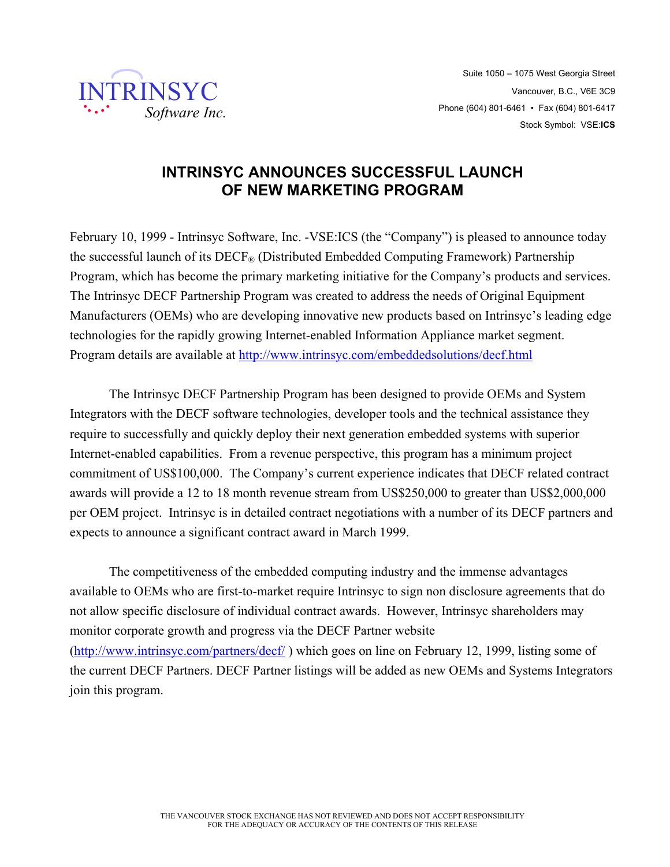

## **INTRINSYC ANNOUNCES SUCCESSFUL LAUNCH OF NEW MARKETING PROGRAM**

February 10, 1999 - Intrinsyc Software, Inc. -VSE:ICS (the "Company") is pleased to announce today the successful launch of its  $DECF_{\odot}$  (Distributed Embedded Computing Framework) Partnership Program, which has become the primary marketing initiative for the Company's products and services. The Intrinsyc DECF Partnership Program was created to address the needs of Original Equipment Manufacturers (OEMs) who are developing innovative new products based on Intrinsyc's leading edge technologies for the rapidly growing Internet-enabled Information Appliance market segment. Program details are available at http://www.intrinsyc.com/embeddedsolutions/decf.html

The Intrinsyc DECF Partnership Program has been designed to provide OEMs and System Integrators with the DECF software technologies, developer tools and the technical assistance they require to successfully and quickly deploy their next generation embedded systems with superior Internet-enabled capabilities. From a revenue perspective, this program has a minimum project commitment of US\$100,000. The Company's current experience indicates that DECF related contract awards will provide a 12 to 18 month revenue stream from US\$250,000 to greater than US\$2,000,000 per OEM project. Intrinsyc is in detailed contract negotiations with a number of its DECF partners and expects to announce a significant contract award in March 1999.

The competitiveness of the embedded computing industry and the immense advantages available to OEMs who are first-to-market require Intrinsyc to sign non disclosure agreements that do not allow specific disclosure of individual contract awards. However, Intrinsyc shareholders may monitor corporate growth and progress via the DECF Partner website (http://www.intrinsyc.com/partners/decf/ ) which goes on line on February 12, 1999, listing some of the current DECF Partners. DECF Partner listings will be added as new OEMs and Systems Integrators join this program.